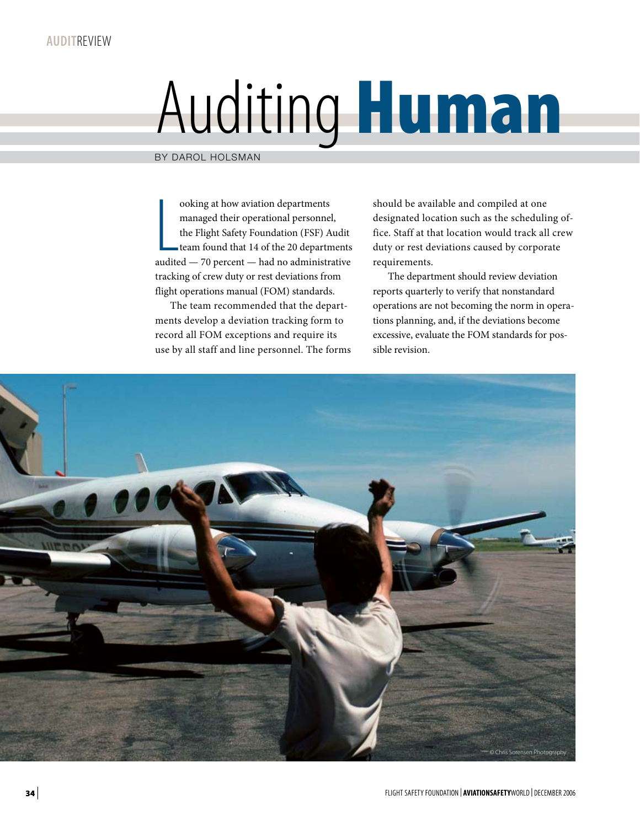## Auditing Human

By Darol Holsman

% ooking at how aviation departments<br>managed their operational personnel,<br>the Flight Safety Foundation (FSF) Audit<br>team found that 14 of the 20 departments<br>audited  $-$  70 percent — had no administrative ooking at how aviation departments managed their operational personnel, the Flight Safety Foundation (FSF) Audit team found that 14 of the 20 departments tracking of crew duty or rest deviations from flight operations manual (FOM) standards.

The team recommended that the departments develop a deviation tracking form to record all FOM exceptions and require its use by all staff and line personnel. The forms should be available and compiled at one designated location such as the scheduling office. Staff at that location would track all crew duty or rest deviations caused by corporate requirements.

The department should review deviation reports quarterly to verify that nonstandard operations are not becoming the norm in operations planning, and, if the deviations become excessive, evaluate the FOM standards for possible revision.